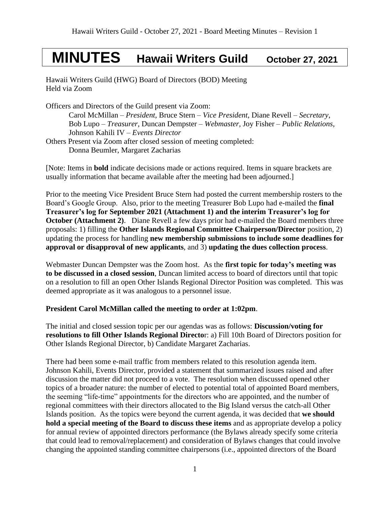# **MINUTES Hawaii Writers Guild October 27, 2021**

Hawaii Writers Guild (HWG) Board of Directors (BOD) Meeting Held via Zoom

Officers and Directors of the Guild present via Zoom: Carol McMillan – *President*, Bruce Stern – *Vice President*, Diane Revell – *Secretary*, Bob Lupo – *Treasurer,* Duncan Dempster – *Webmaster,* Joy Fisher – *Public Relations,* Johnson Kahili IV – *Events Director* Others Present via Zoom after closed session of meeting completed: Donna Beumler, Margaret Zacharias

[Note: Items in **bold** indicate decisions made or actions required. Items in square brackets are usually information that became available after the meeting had been adjourned.]

Prior to the meeting Vice President Bruce Stern had posted the current membership rosters to the Board's Google Group. Also, prior to the meeting Treasurer Bob Lupo had e-mailed the **final Treasurer's log for September 2021 (Attachment 1) and the interim Treasurer's log for October** (Attachment 2). Diane Revell a few days prior had e-mailed the Board members three proposals: 1) filling the **Other Islands Regional Committee Chairperson/Director** position, 2) updating the process for handling **new membership submissions to include some deadlines for approval or disapproval of new applicants**, and 3) **updating the dues collection process**.

Webmaster Duncan Dempster was the Zoom host. As the **first topic for today's meeting was to be discussed in a closed session**, Duncan limited access to board of directors until that topic on a resolution to fill an open Other Islands Regional Director Position was completed. This was deemed appropriate as it was analogous to a personnel issue.

#### **President Carol McMillan called the meeting to order at 1:02pm**.

The initial and closed session topic per our agendas was as follows: **Discussion/voting for resolutions to fill Other Islands Regional Directo**r: a) Fill 10th Board of Directors position for Other Islands Regional Director, b) Candidate Margaret Zacharias.

There had been some e-mail traffic from members related to this resolution agenda item. Johnson Kahili, Events Director, provided a statement that summarized issues raised and after discussion the matter did not proceed to a vote. The resolution when discussed opened other topics of a broader nature: the number of elected to potential total of appointed Board members, the seeming "life-time" appointments for the directors who are appointed, and the number of regional committees with their directors allocated to the Big Island versus the catch-all Other Islands position. As the topics were beyond the current agenda, it was decided that **we should hold a special meeting of the Board to discuss these items** and as appropriate develop a policy for annual review of appointed directors performance (the Bylaws already specify some criteria that could lead to removal/replacement) and consideration of Bylaws changes that could involve changing the appointed standing committee chairpersons (i.e., appointed directors of the Board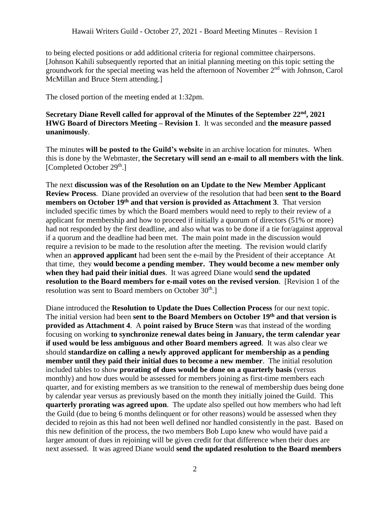to being elected positions or add additional criteria for regional committee chairpersons. [Johnson Kahili subsequently reported that an initial planning meeting on this topic setting the groundwork for the special meeting was held the afternoon of November 2nd with Johnson, Carol McMillan and Bruce Stern attending.]

The closed portion of the meeting ended at 1:32pm.

**Secretary Diane Revell called for approval of the Minutes of the September 22 nd , 2021 HWG Board of Directors Meeting – Revision 1**.It was seconded and **the measure passed unanimously**.

The minutes **will be posted to the Guild's website** in an archive location for minutes. When this is done by the Webmaster, **the Secretary will send an e-mail to all members with the link**. [Completed October 29<sup>th</sup>.]

The next **discussion was of the Resolution on an Update to the New Member Applicant Review Process**. Diane provided an overview of the resolution that had been **sent to the Board members on October 19th and that version is provided as Attachment 3**. That version included specific times by which the Board members would need to reply to their review of a applicant for membership and how to proceed if initially a quorum of directors (51% or more) had not responded by the first deadline, and also what was to be done if a tie for/against approval if a quorum and the deadline had been met. The main point made in the discussion would require a revision to be made to the resolution after the meeting. The revision would clarify when an **approved applicant** had been sent the e-mail by the President of their acceptance At that time, they **would become a pending member. They would become a new member only when they had paid their initial dues**. It was agreed Diane would **send the updated resolution to the Board members for e-mail votes on the revised version**. [Revision 1 of the resolution was sent to Board members on October 30<sup>th</sup>.]

Diane introduced the **Resolution to Update the Dues Collection Process** for our next topic. The initial version had been **sent to the Board Members on October 19th and that version is provided as Attachment 4**. A **point raised by Bruce Stern** was that instead of the wording focusing on working **to synchronize renewal dates being in January, the term calendar year if used would be less ambiguous and other Board members agreed**. It was also clear we should **standardize on calling a newly approved applicant for membership as a pending member until they paid their initial dues to become a new member**. The initial resolution included tables to show **prorating of dues would be done on a quarterly basis** (versus monthly) and how dues would be assessed for members joining as first-time members each quarter, and for existing members as we transition to the renewal of membership dues being done by calendar year versus as previously based on the month they initially joined the Guild. This **quarterly prorating was agreed upon**. The update also spelled out how members who had left the Guild (due to being 6 months delinquent or for other reasons) would be assessed when they decided to rejoin as this had not been well defined nor handled consistently in the past. Based on this new definition of the process, the two members Bob Lupo knew who would have paid a larger amount of dues in rejoining will be given credit for that difference when their dues are next assessed. It was agreed Diane would **send the updated resolution to the Board members**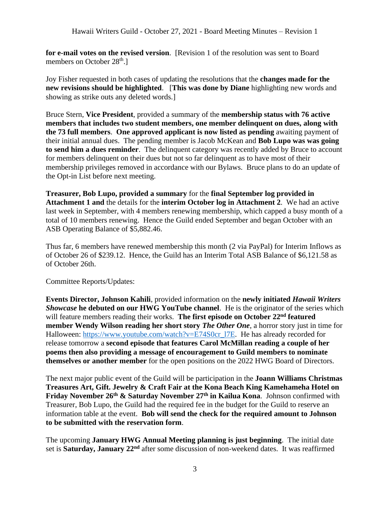**for e-mail votes on the revised version**. [Revision 1 of the resolution was sent to Board members on October 28<sup>th</sup>.]

Joy Fisher requested in both cases of updating the resolutions that the **changes made for the new revisions should be highlighted**. [**This was done by Diane** highlighting new words and showing as strike outs any deleted words.]

Bruce Stern, **Vice President**, provided a summary of the **membership status with 76 active members that includes two student members, one member delinquent on dues, along with the 73 full members**. **One approved applicant is now listed as pending** awaiting payment of their initial annual dues. The pending member is Jacob McKean and **Bob Lupo was was going to send him a dues reminder**. The delinquent category was recently added by Bruce to account for members delinquent on their dues but not so far delinquent as to have most of their membership privileges removed in accordance with our Bylaws. Bruce plans to do an update of the Opt-in List before next meeting.

**Treasurer, Bob Lupo, provided a summary** for the **final September log provided in Attachment 1 and** the details for the **interim October log in Attachment 2**. We had an active last week in September, with 4 members renewing membership, which capped a busy month of a total of 10 members renewing. Hence the Guild ended September and began October with an ASB Operating Balance of \$5,882.46.

Thus far, 6 members have renewed membership this month (2 via PayPal) for Interim Inflows as of October 26 of \$239.12. Hence, the Guild has an Interim Total ASB Balance of \$6,121.58 as of October 26th.

Committee Reports/Updates:

**Events Director, Johnson Kahili**, provided information on the **newly initiated** *Hawaii Writers Showcase* **he debuted on our HWG YouTube channel**. He is the originator of the series which will feature members reading their works. **The first episode on October 22nd featured member Wendy Wilson reading her short story** *The Other One*, a horror story just in time for Halloween: https://www.youtube.com/watch?v=E74S0cr\_17E. He has already recorded for release tomorrow a **second episode that features Carol McMillan reading a couple of her poems then also providing a message of encouragement to Guild members to nominate themselves or another member** for the open positions on the 2022 HWG Board of Directors.

The next major public event of the Guild will be participation in the **Joann Williams Christmas Treasures Art, Gift. Jewelry & Craft Fair at the Kona Beach King Kamehameha Hotel on Friday November 26th & Saturday November 27th in Kailua Kona**. Johnson confirmed with Treasurer, Bob Lupo, the Guild had the required fee in the budget for the Guild to reserve an information table at the event. **Bob will send the check for the required amount to Johnson to be submitted with the reservation form**.

The upcoming **January HWG Annual Meeting planning is just beginning**. The initial date set is **Saturday, January 22nd** after some discussion of non-weekend dates. It was reaffirmed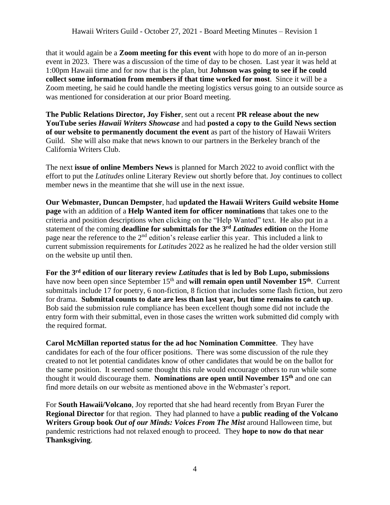that it would again be a **Zoom meeting for this event** with hope to do more of an in-person event in 2023. There was a discussion of the time of day to be chosen. Last year it was held at 1:00pm Hawaii time and for now that is the plan, but **Johnson was going to see if he could collect some information from members if that time worked for most**. Since it will be a Zoom meeting, he said he could handle the meeting logistics versus going to an outside source as was mentioned for consideration at our prior Board meeting.

**The Public Relations Director, Joy Fisher**, sent out a recent **PR release about the new YouTube series** *Hawaii Writers Showcase* and had **posted a copy to the Guild News section of our website to permanently document the event** as part of the history of Hawaii Writers Guild. She will also make that news known to our partners in the Berkeley branch of the California Writers Club.

The next **issue of online Members News** is planned for March 2022 to avoid conflict with the effort to put the *Latitudes* online Literary Review out shortly before that. Joy continues to collect member news in the meantime that she will use in the next issue.

**Our Webmaster, Duncan Dempster**, had **updated the Hawaii Writers Guild website Home page** with an addition of a **Help Wanted item for officer nominations** that takes one to the criteria and position descriptions when clicking on the "Help Wanted" text. He also put in a statement of the coming **deadline for submittals for the 3rd** *Latitudes* **edition** on the Home page near the reference to the 2nd edition's release earlier this year. This included a link to current submission requirements for *Latitudes* 2022 as he realized he had the older version still on the website up until then.

**For the 3rd edition of our literary review** *Latitudes* **that is led by Bob Lupo, submissions**  have now been open since September 15<sup>th</sup> and will remain open until November 15<sup>th</sup>. Current submittals include 17 for poetry, 6 non-fiction, 8 fiction that includes some flash fiction, but zero for drama. **Submittal counts to date are less than last year, but time remains to catch up**. Bob said the submission rule compliance has been excellent though some did not include the entry form with their submittal, even in those cases the written work submitted did comply with the required format.

**Carol McMillan reported status for the ad hoc Nomination Committee**. They have candidates for each of the four officer positions. There was some discussion of the rule they created to not let potential candidates know of other candidates that would be on the ballot for the same position. It seemed some thought this rule would encourage others to run while some thought it would discourage them. **Nominations are open until November 15th** and one can find more details on our website as mentioned above in the Webmaster's report.

For **South Hawaii/Volcano**, Joy reported that she had heard recently from Bryan Furer the **Regional Director** for that region. They had planned to have a **public reading of the Volcano Writers Group book** *Out of our Minds: Voices From The Mist* around Halloween time, but pandemic restrictions had not relaxed enough to proceed. They **hope to now do that near Thanksgiving**.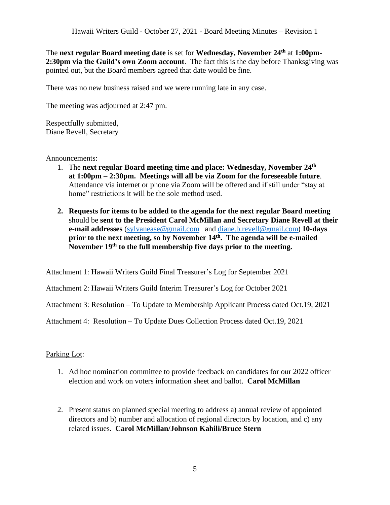Hawaii Writers Guild - October 27, 2021 - Board Meeting Minutes – Revision 1

The next regular Board meeting date is set for Wednesday, November 24<sup>th</sup> at 1:00pm-**2:30pm via the Guild's own Zoom account**. The fact this is the day before Thanksgiving was pointed out, but the Board members agreed that date would be fine.

There was no new business raised and we were running late in any case.

The meeting was adjourned at 2:47 pm.

Respectfully submitted, Diane Revell, Secretary

Announcements:

- 1. The next regular Board meeting time and place: Wednesday, November 24<sup>th</sup> **at 1:00pm – 2:30pm. Meetings will all be via Zoom for the foreseeable future**. Attendance via internet or phone via Zoom will be offered and if still under "stay at home" restrictions it will be the sole method used.
- **2. Requests for items to be added to the agenda for the next regular Board meeting** should be **sent to the President Carol McMillan and Secretary Diane Revell at their e-mail addresses** [\(sylvanease@gmail.com](mailto:sylvanease@gmail.com) and [diane.b.revell@](mailto:diane.b.revell@gmail.com)gmail.com) **10-days prior to the next meeting, so by November 14 th . The agenda will be e-mailed November 19th to the full membership five days prior to the meeting.**

Attachment 1: Hawaii Writers Guild Final Treasurer's Log for September 2021

Attachment 2: Hawaii Writers Guild Interim Treasurer's Log for October 2021

Attachment 3: Resolution – To Update to Membership Applicant Process dated Oct.19, 2021

Attachment 4: Resolution – To Update Dues Collection Process dated Oct.19, 2021

Parking Lot:

- 1. Ad hoc nomination committee to provide feedback on candidates for our 2022 officer election and work on voters information sheet and ballot. **Carol McMillan**
- 2. Present status on planned special meeting to address a) annual review of appointed directors and b) number and allocation of regional directors by location, and c) any related issues. **Carol McMillan/Johnson Kahili/Bruce Stern**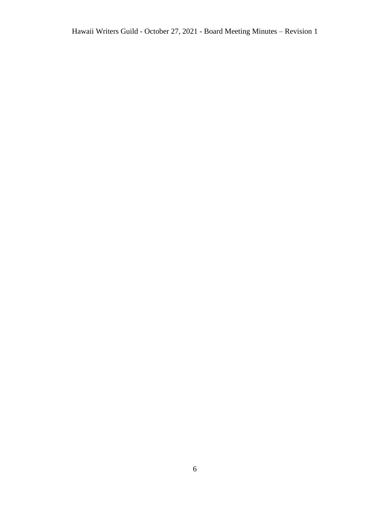Hawaii Writers Guild - October 27, 2021 - Board Meeting Minutes – Revision 1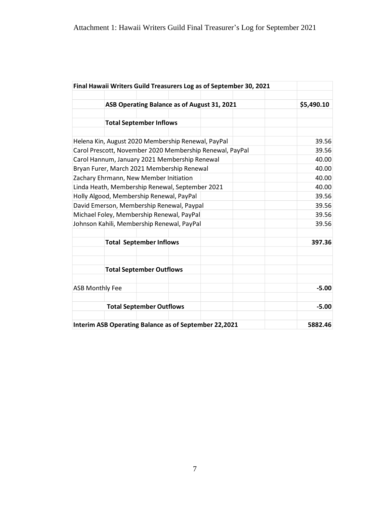|                                                          |  |                                             |  |         | Final Hawaii Writers Guild Treasurers Log as of September 30, 2021 |            |
|----------------------------------------------------------|--|---------------------------------------------|--|---------|--------------------------------------------------------------------|------------|
|                                                          |  | ASB Operating Balance as of August 31, 2021 |  |         |                                                                    | \$5,490.10 |
|                                                          |  |                                             |  |         |                                                                    |            |
|                                                          |  | <b>Total September Inflows</b>              |  |         |                                                                    |            |
|                                                          |  |                                             |  |         |                                                                    |            |
| Helena Kin, August 2020 Membership Renewal, PayPal       |  |                                             |  |         |                                                                    | 39.56      |
| Carol Prescott, November 2020 Membership Renewal, PayPal |  |                                             |  |         |                                                                    | 39.56      |
| Carol Hannum, January 2021 Membership Renewal            |  |                                             |  |         | 40.00                                                              |            |
| Bryan Furer, March 2021 Membership Renewal               |  |                                             |  |         |                                                                    | 40.00      |
| Zachary Ehrmann, New Member Initiation                   |  |                                             |  | 40.00   |                                                                    |            |
| Linda Heath, Membership Renewal, September 2021          |  |                                             |  | 40.00   |                                                                    |            |
| Holly Algood, Membership Renewal, PayPal                 |  |                                             |  | 39.56   |                                                                    |            |
| David Emerson, Membership Renewal, Paypal                |  |                                             |  |         | 39.56                                                              |            |
| Michael Foley, Membership Renewal, PayPal                |  |                                             |  | 39.56   |                                                                    |            |
| Johnson Kahili, Membership Renewal, PayPal               |  |                                             |  |         |                                                                    | 39.56      |
|                                                          |  | <b>Total September Inflows</b>              |  |         |                                                                    | 397.36     |
|                                                          |  |                                             |  |         |                                                                    |            |
|                                                          |  | <b>Total September Outflows</b>             |  |         |                                                                    |            |
| <b>ASB Monthly Fee</b>                                   |  |                                             |  |         |                                                                    | $-5.00$    |
|                                                          |  |                                             |  |         |                                                                    |            |
| <b>Total September Outflows</b>                          |  |                                             |  | $-5.00$ |                                                                    |            |
| Interim ASB Operating Balance as of September 22,2021    |  |                                             |  |         |                                                                    | 5882.46    |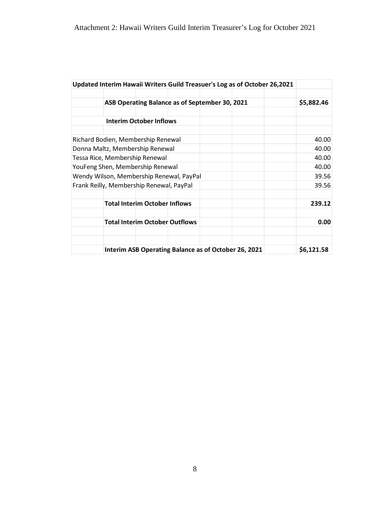|                                  |                                                | Updated Interim Hawaii Writers Guild Treasuer's Log as of October 26,2021 |       |       |            |
|----------------------------------|------------------------------------------------|---------------------------------------------------------------------------|-------|-------|------------|
|                                  | ASB Operating Balance as of September 30, 2021 |                                                                           |       |       | \$5,882.46 |
|                                  |                                                | <b>Interim October Inflows</b>                                            |       |       |            |
|                                  |                                                | Richard Bodien, Membership Renewal                                        |       |       | 40.00      |
| Donna Maltz, Membership Renewal  |                                                |                                                                           | 40.00 |       |            |
| Tessa Rice, Membership Renewal   |                                                |                                                                           |       | 40.00 |            |
| YouFeng Shen, Membership Renewal |                                                |                                                                           | 40.00 |       |            |
|                                  |                                                | Wendy Wilson, Membership Renewal, PayPal                                  |       |       | 39.56      |
|                                  |                                                | Frank Reilly, Membership Renewal, PayPal                                  |       |       | 39.56      |
|                                  |                                                | <b>Total Interim October Inflows</b>                                      |       |       | 239.12     |
|                                  |                                                | <b>Total Interim October Outflows</b>                                     |       |       | 0.00       |
|                                  |                                                | Interim ASB Operating Balance as of October 26, 2021                      |       |       | \$6,121.58 |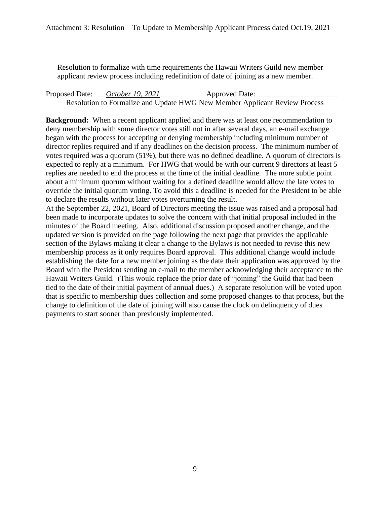Resolution to formalize with time requirements the Hawaii Writers Guild new member applicant review process including redefinition of date of joining as a new member.

Proposed Date: *\_\_\_\_October 19, 2021* \_\_\_\_\_\_\_ Approved Date: \_\_\_\_\_\_ Resolution to Formalize and Update HWG New Member Applicant Review Process

**Background:** When a recent applicant applied and there was at least one recommendation to deny membership with some director votes still not in after several days, an e-mail exchange began with the process for accepting or denying membership including minimum number of director replies required and if any deadlines on the decision process. The minimum number of votes required was a quorum (51%), but there was no defined deadline. A quorum of directors is expected to reply at a minimum. For HWG that would be with our current 9 directors at least 5 replies are needed to end the process at the time of the initial deadline. The more subtle point about a minimum quorum without waiting for a defined deadline would allow the late votes to override the initial quorum voting. To avoid this a deadline is needed for the President to be able to declare the results without later votes overturning the result.

At the September 22, 2021, Board of Directors meeting the issue was raised and a proposal had been made to incorporate updates to solve the concern with that initial proposal included in the minutes of the Board meeting. Also, additional discussion proposed another change, and the updated version is provided on the page following the next page that provides the applicable section of the Bylaws making it clear a change to the Bylaws is not needed to revise this new membership process as it only requires Board approval. This additional change would include establishing the date for a new member joining as the date their application was approved by the Board with the President sending an e-mail to the member acknowledging their acceptance to the Hawaii Writers Guild. (This would replace the prior date of "joining" the Guild that had been tied to the date of their initial payment of annual dues.) A separate resolution will be voted upon that is specific to membership dues collection and some proposed changes to that process, but the change to definition of the date of joining will also cause the clock on delinquency of dues payments to start sooner than previously implemented.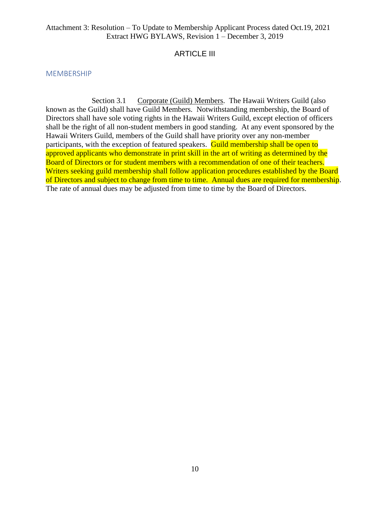#### Attachment 3: Resolution – To Update to Membership Applicant Process dated Oct.19, 2021 Extract HWG BYLAWS, Revision 1 – December 3, 2019

#### ARTICLE III

#### **MEMBERSHIP**

Section 3.1 Corporate (Guild) Members. The Hawaii Writers Guild (also known as the Guild) shall have Guild Members. Notwithstanding membership, the Board of Directors shall have sole voting rights in the Hawaii Writers Guild, except election of officers shall be the right of all non-student members in good standing. At any event sponsored by the Hawaii Writers Guild, members of the Guild shall have priority over any non-member participants, with the exception of featured speakers. Guild membership shall be open to approved applicants who demonstrate in print skill in the art of writing as determined by the Board of Directors or for student members with a recommendation of one of their teachers. Writers seeking guild membership shall follow application procedures established by the Board of Directors and subject to change from time to time. Annual dues are required for membership. The rate of annual dues may be adjusted from time to time by the Board of Directors.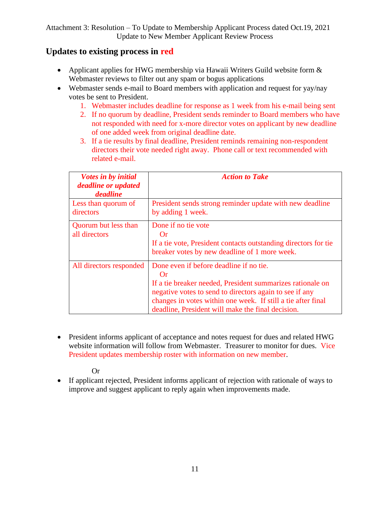## **Updates to existing process in red**

- Applicant applies for HWG membership via Hawaii Writers Guild website form  $\&$ Webmaster reviews to filter out any spam or bogus applications
- Webmaster sends e-mail to Board members with application and request for yay/nay votes be sent to President.
	- 1. Webmaster includes deadline for response as 1 week from his e-mail being sent
	- 2. If no quorum by deadline, President sends reminder to Board members who have not responded with need for x-more director votes on applicant by new deadline of one added week from original deadline date.
	- 3. If a tie results by final deadline, President reminds remaining non-respondent directors their vote needed right away. Phone call or text recommended with related e-mail.

| <i>Votes in by initial</i><br>deadline or updated<br>deadline | <b>Action to Take</b>                                                                                                                                                                                                                                                                       |
|---------------------------------------------------------------|---------------------------------------------------------------------------------------------------------------------------------------------------------------------------------------------------------------------------------------------------------------------------------------------|
| Less than quorum of<br>directors                              | President sends strong reminder update with new deadline<br>by adding 1 week.                                                                                                                                                                                                               |
| Quorum but less than<br>all directors                         | Done if no tie vote<br>Or<br>If a tie vote, President contacts outstanding directors for tie<br>breaker votes by new deadline of 1 more week.                                                                                                                                               |
| All directors responded                                       | Done even if before deadline if no tie.<br>Or<br>If a tie breaker needed, President summarizes rationale on<br>negative votes to send to directors again to see if any<br>changes in votes within one week. If still a tie after final<br>deadline, President will make the final decision. |

• President informs applicant of acceptance and notes request for dues and related HWG website information will follow from Webmaster. Treasurer to monitor for dues. Vice President updates membership roster with information on new member.

Or

• If applicant rejected, President informs applicant of rejection with rationale of ways to improve and suggest applicant to reply again when improvements made.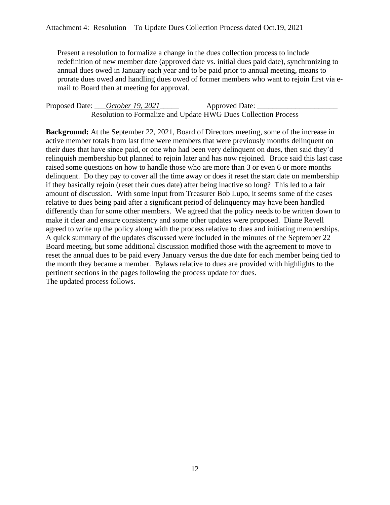Present a resolution to formalize a change in the dues collection process to include redefinition of new member date (approved date vs. initial dues paid date), synchronizing to annual dues owed in January each year and to be paid prior to annual meeting, means to prorate dues owed and handling dues owed of former members who want to rejoin first via email to Board then at meeting for approval.

Proposed Date: *October 19, 2021* Approved Date: Resolution to Formalize and Update HWG Dues Collection Process

**Background:** At the September 22, 2021, Board of Directors meeting, some of the increase in active member totals from last time were members that were previously months delinquent on their dues that have since paid, or one who had been very delinquent on dues, then said they'd relinquish membership but planned to rejoin later and has now rejoined. Bruce said this last case raised some questions on how to handle those who are more than 3 or even 6 or more months delinquent. Do they pay to cover all the time away or does it reset the start date on membership if they basically rejoin (reset their dues date) after being inactive so long? This led to a fair amount of discussion. With some input from Treasurer Bob Lupo, it seems some of the cases relative to dues being paid after a significant period of delinquency may have been handled differently than for some other members. We agreed that the policy needs to be written down to make it clear and ensure consistency and some other updates were proposed. Diane Revell agreed to write up the policy along with the process relative to dues and initiating memberships. A quick summary of the updates discussed were included in the minutes of the September 22 Board meeting, but some additional discussion modified those with the agreement to move to reset the annual dues to be paid every January versus the due date for each member being tied to the month they became a member. Bylaws relative to dues are provided with highlights to the pertinent sections in the pages following the process update for dues. The updated process follows.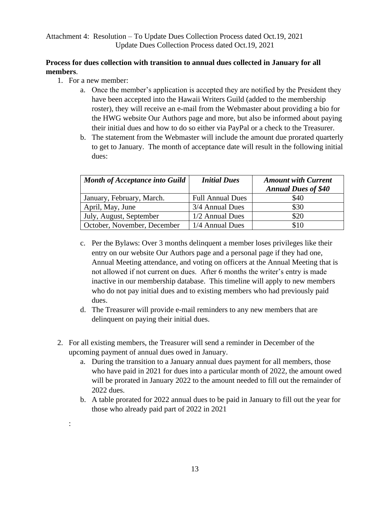Attachment 4: Resolution – To Update Dues Collection Process dated Oct.19, 2021 Update Dues Collection Process dated Oct.19, 2021

#### **Process for dues collection with transition to annual dues collected in January for all members**.

1. For a new member:

:

- a. Once the member's application is accepted they are notified by the President they have been accepted into the Hawaii Writers Guild (added to the membership roster), they will receive an e-mail from the Webmaster about providing a bio for the HWG website Our Authors page and more, but also be informed about paying their initial dues and how to do so either via PayPal or a check to the Treasurer.
- b. The statement from the Webmaster will include the amount due prorated quarterly to get to January. The month of acceptance date will result in the following initial dues:

| <b>Month of Acceptance into Guild</b> | <b>Initial Dues</b>     | <b>Amount with Current</b><br><b>Annual Dues of \$40</b> |
|---------------------------------------|-------------------------|----------------------------------------------------------|
| January, February, March.             | <b>Full Annual Dues</b> | \$40                                                     |
| April, May, June                      | 3/4 Annual Dues         | \$30                                                     |
| July, August, September               | 1/2 Annual Dues         | \$20                                                     |
| October, November, December           | 1/4 Annual Dues         | \$10                                                     |

- c. Per the Bylaws: Over 3 months delinquent a member loses privileges like their entry on our website Our Authors page and a personal page if they had one, Annual Meeting attendance, and voting on officers at the Annual Meeting that is not allowed if not current on dues. After 6 months the writer's entry is made inactive in our membership database. This timeline will apply to new members who do not pay initial dues and to existing members who had previously paid dues.
- d. The Treasurer will provide e-mail reminders to any new members that are delinquent on paying their initial dues.
- 2. For all existing members, the Treasurer will send a reminder in December of the upcoming payment of annual dues owed in January.
	- a. During the transition to a January annual dues payment for all members, those who have paid in 2021 for dues into a particular month of 2022, the amount owed will be prorated in January 2022 to the amount needed to fill out the remainder of 2022 dues.
	- b. A table prorated for 2022 annual dues to be paid in January to fill out the year for those who already paid part of 2022 in 2021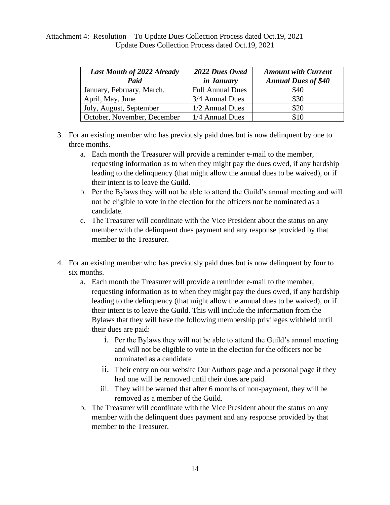Attachment 4: Resolution – To Update Dues Collection Process dated Oct.19, 2021 Update Dues Collection Process dated Oct.19, 2021

| Last Month of 2022 Already<br>Paid | 2022 Dues Owed<br><i>in January</i> | <b>Amount with Current</b><br><b>Annual Dues of \$40</b> |
|------------------------------------|-------------------------------------|----------------------------------------------------------|
| January, February, March.          | <b>Full Annual Dues</b>             | \$40                                                     |
| April, May, June                   | 3/4 Annual Dues                     | \$30                                                     |
| July, August, September            | 1/2 Annual Dues                     | \$20                                                     |
| October, November, December        | 1/4 Annual Dues                     | \$10                                                     |

- 3. For an existing member who has previously paid dues but is now delinquent by one to three months.
	- a. Each month the Treasurer will provide a reminder e-mail to the member, requesting information as to when they might pay the dues owed, if any hardship leading to the delinquency (that might allow the annual dues to be waived), or if their intent is to leave the Guild.
	- b. Per the Bylaws they will not be able to attend the Guild's annual meeting and will not be eligible to vote in the election for the officers nor be nominated as a candidate.
	- c. The Treasurer will coordinate with the Vice President about the status on any member with the delinquent dues payment and any response provided by that member to the Treasurer.
- 4. For an existing member who has previously paid dues but is now delinquent by four to six months.
	- a. Each month the Treasurer will provide a reminder e-mail to the member, requesting information as to when they might pay the dues owed, if any hardship leading to the delinquency (that might allow the annual dues to be waived), or if their intent is to leave the Guild. This will include the information from the Bylaws that they will have the following membership privileges withheld until their dues are paid:
		- i. Per the Bylaws they will not be able to attend the Guild's annual meeting and will not be eligible to vote in the election for the officers nor be nominated as a candidate
		- ii. Their entry on our website Our Authors page and a personal page if they had one will be removed until their dues are paid.
		- iii. They will be warned that after 6 months of non-payment, they will be removed as a member of the Guild.
	- b. The Treasurer will coordinate with the Vice President about the status on any member with the delinquent dues payment and any response provided by that member to the Treasurer.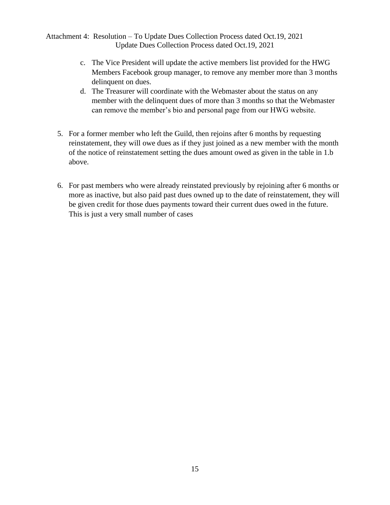Attachment 4: Resolution – To Update Dues Collection Process dated Oct.19, 2021 Update Dues Collection Process dated Oct.19, 2021

- c. The Vice President will update the active members list provided for the HWG Members Facebook group manager, to remove any member more than 3 months delinquent on dues.
- d. The Treasurer will coordinate with the Webmaster about the status on any member with the delinquent dues of more than 3 months so that the Webmaster can remove the member's bio and personal page from our HWG website.
- 5. For a former member who left the Guild, then rejoins after 6 months by requesting reinstatement, they will owe dues as if they just joined as a new member with the month of the notice of reinstatement setting the dues amount owed as given in the table in 1.b above.
- 6. For past members who were already reinstated previously by rejoining after 6 months or more as inactive, but also paid past dues owned up to the date of reinstatement, they will be given credit for those dues payments toward their current dues owed in the future. This is just a very small number of cases